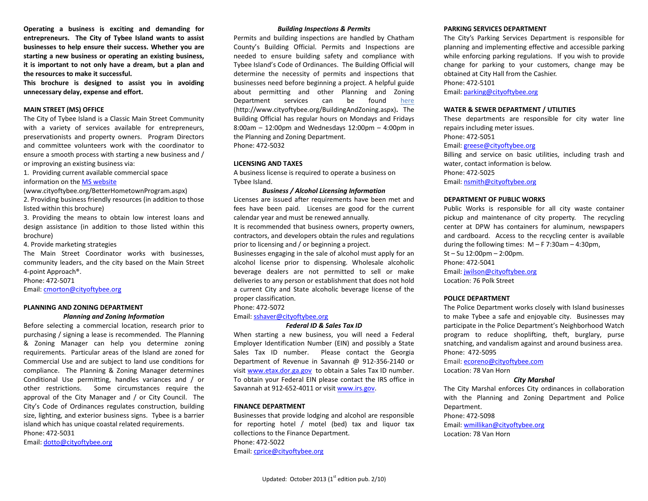**Operating a business is exciting and demanding for entrepreneurs. The City of Tybee Island wants to assist businesses to help ensure their success. Whether you are starting a new business or operating an existing business, it is important to not only have a dream, but a plan and the resources to make it successful.** 

**This brochure is designed to assist you in avoiding unnecessary delay, expense and effort.**

### **MAIN STREET (MS) OFFICE**

The City of Tybee Island is a Classic Main Street Community with a variety of services available for entrepreneurs, preservationists and property owners. Program Directors and committee volunteers work with the coordinator to ensure a smooth process with starting a new business and / or improving an existing business via:

1. Providing current available commercial space information on the MS [website](http://www.cityoftybee.org/BetterHometownProgram.aspx)

(www.cityoftybee.org/BetterHometownProgram.aspx) 2. Providing business friendly resources (in addition to those listed within this brochure)

3. Providing the means to obtain low interest loans and design assistance (in addition to those listed within this brochure)

4. Provide marketing strategies

The Main Street Coordinator works with businesses, community leaders, and the city based on the Main Street 4-point Approach®.

Phone: 472-5071

Email[: cmorton@cityoftybee.org](mailto:cmorton@cityoftybee.org)

#### **PLANNING AND ZONING DEPARTMENT**

#### *Planning and Zoning Information*

Before selecting a commercial location, research prior to purchasing / signing a lease is recommended. The Planning & Zoning Manager can help you determine zoning requirements. Particular areas of the Island are zoned for Commercial Use and are subject to land use conditions for compliance. The Planning & Zoning Manager determines Conditional Use permitting, handles variances and / or other restrictions. Some circumstances require the approval of the City Manager and / or City Council. The City's Code of Ordinances regulates construction, building size, lighting, and exterior business signs. Tybee is a barrier island which has unique coastal related requirements. Phone: 472-5031

Email[: dotto@cityoftybee.org](mailto:dotto@cityoftybee.org)

#### *Building Inspections & Permits*

Permits and building inspections are handled by Chatham County's Building Official. Permits and Inspections are needed to ensure building safety and compliance with Tybee Island's Code of Ordinances. The Building Official will determine the necessity of permits and inspections that businesses need before beginning a project. A helpful guide about permitting and other Planning and Zoning Department services can be found [here](http://www.cityoftybee.org/BuildingAndZoning.aspx) (http://www.cityoftybee.org/BuildingAndZoning.aspx)**.** The Building Official has regular hours on Mondays and Fridays 8:00am – 12:00pm and Wednesdays 12:00pm – 4:00pm in the Planning and Zoning Department. Phone: 472-5032

#### **LICENSING AND TAXES**

A business license is required to operate a business on Tybee Island.

### *Business / Alcohol Licensing Information*

Licenses are issued after requirements have been met and fees have been paid. Licenses are good for the current calendar year and must be renewed annually.

It is recommended that business owners, property owners, contractors, and developers obtain the rules and regulations prior to licensing and / or beginning a project.

Businesses engaging in the sale of alcohol must apply for an alcohol license prior to dispensing. Wholesale alcoholic beverage dealers are not permitted to sell or make deliveries to any person or establishment that does not hold a current City and State alcoholic beverage license of the proper classification.

Phone: 472-5072

Email[: sshaver@cityoftybee.org](mailto:sshaver@cityoftybee.org)

#### *Federal ID & Sales Tax ID*

When starting a new business, you will need a Federal Employer Identification Number (EIN) and possibly a State Sales Tax ID number. Please contact the Georgia Department of Revenue in Savannah @ 912-356-2140 or visit [www.etax.dor.ga.gov](http://www.etax.dor.ga.gov/) to obtain a Sales Tax ID number. To obtain your Federal EIN please contact the IRS office in Savannah at 912-652-4011 or visi[t www.irs.gov.](http://www.irs.gov/)

#### **FINANCE DEPARTMENT**

Businesses that provide lodging and alcohol are responsible for reporting hotel / motel (bed) tax and liquor tax collections to the Finance Department. Phone: 472-5022 Email[: cprice@cityoftybee.org](mailto:cprice@cityoftybee.org)

The City's Parking Services Department is responsible for planning and implementing effective and accessible parking while enforcing parking regulations. If you wish to provide change for parking to your customers, change may be obtained at City Hall from the Cashier. Phone: 472-5101

Email: [parking@cityoftybee.org](mailto:ssasser@cityoftybee.org)

#### **WATER & SEWER DEPARTMENT / UTILITIES**

These departments are responsible for city water line repairs including meter issues. Phone: 472-5051 Email: [greese@cityoftybee.org](mailto:greese@cityoftybee.org) Billing and service on basic utilities, including trash and water, contact information is below. Phone: 472-5025 Email: [nsmith@cityoftybee.org](mailto:nsmith@cityoftybee.org)

#### **DEPARTMENT OF PUBLIC WORKS**

Public Works is responsible for all city waste container pickup and maintenance of city property. The recycling center at DPW has containers for aluminum, newspapers and cardboard. Access to the recycling center is available during the following times:  $M - F$  7:30am – 4:30pm, St – Su 12:00pm – 2:00pm. Phone: 472-5041 Email: [jwilson@cityoftybee.org](mailto:jwilson@cityoftybee.org) Location: 76 Polk Street

#### **POLICE DEPARTMENT**

The Police Department works closely with Island businesses to make Tybee a safe and enjoyable city. Businesses may participate in the Police Department's Neighborhood Watch program to reduce shoplifting, theft, burglary, purse snatching, and vandalism against and around business area. Phone: 472-5095

Email: [ecoreno@cityoftybee.com](mailto:ecoreno@cityoftybee.com)

Location: 78 Van Horn

### *City Marshal*

The City Marshal enforces City ordinances in collaboration with the Planning and Zoning Department and Police Department.

#### Phone: 472-5098

Email: [wmillikan@cityoftybee.org](mailto:wmillikan@cityoftybee.org)

Location: 78 Van Horn